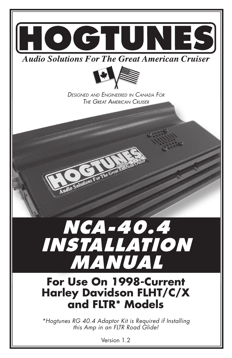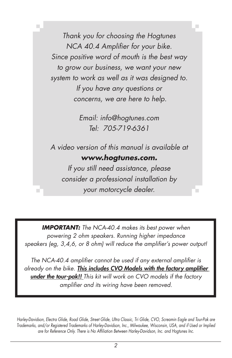Thank you for choosing the Hogtunes NCA 40.4 Amplifier for your bike. Since positive word of mouth is the best way to grow our business, we want your new system to work as well as it was designed to. If you have any questions or concerns, we are here to help.

> Email: info@hogtunes.com Tel: 705-719-6361

A video version of this manual is available at **www.hogtunes.com.**

If you still need assistance, please consider a professional installation by your motorcycle dealer.

**IMPORTANT:** The NCA-40.4 makes its best power when powering 2 ohm speakers. Running higher impedance speakers (eg, 3,4,6, or 8 ohm) will reduce the amplifier's power output!

The NCA-40.4 amplifier cannot be used if any external amplifier is already on the bike. This includes CVO Models with the factory amplifier under the tour-pak!! This kit will work on CVO models if the factory amplifier and its wiring have been removed.

Harley-Davidson, Electra Glide, Road Glide, Street Glide, Ultra Classic, Tri Glide, CVO, Screamin Eagle and Tour-Pak are Trademarks, and/or Registered Trademarks of Harley-Davidson, Inc., Milwaukee, Wisconsin, USA, and if Used or Implied are for Reference Only. There is No Affiliation Between Harley-Davidson, Inc. and Hogtunes Inc.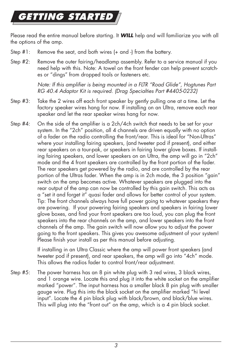# **ETTING STARTE**

Please read the entire manual before starting. It **WILL** help and will familiarize you with all the options of the amp.

- Step #1: Remove the seat, and both wires (+ and -) from the battery.
- Step #2: Remove the outer fairing/headlamp assembly. Refer to a service manual if you need help with this. Note: A towel on the front fender can help prevent scratches or "dings" from dropped tools or fasteners etc.

Note: If this amplifier is being mounted in a FLTR "Road Glide", Hogtunes Part RG 40.4 Adaptor Kit is required. (Drag Specialties Part #4405-0232)

- Step #3: Take the 2 wires off each front speaker by gently pulling one at a time. Let the factory speaker wires hang for now. If installing on an Ultra, remove each rear speaker and let the rear speaker wires hang for now.
- Step  $#4$ : On the side of the amplifier is a 2ch/4ch switch that needs to be set for your system. In the "2ch" position, all 4 channels are driven equally with no option of a fader on the radio controlling the front/rear. This is ideal for "Non-Ultras" where your installing fairing speakers, (and tweeter pod if present), and either rear speakers on a tour-pak, or speakers in fairing lower glove boxes. If installing fairing speakers, and lower speakers on an Ultra, the amp will go in "2ch" mode and the 4 front speakers are controlled by the front portion of the fader. The rear speakers get powered by the radio, and are controlled by the rear portion of the Ultras fader. When the amp is in 2ch mode, the 3 position "gain" switch on the amp becomes active. Whatever speakers are plugged into the rear output of the amp can now be controlled by this gain switch. This acts as a "set it and forget it" quasi fader and allows for better control of your system. Tip: The front channels always have full power going to whatever speakers they are powering. If your powering fairing speakers and speakers in fairing lower glove boxes, and find your front speakers are too loud, you can plug the front speakers into the rear channels on the amp, and lower speakers into the front channels of the amp. The gain switch will now allow you to adjust the power going to the front speakers. This gives you awesome adjustment of your system! Please finish your install as per this manual before adjusting.

 If installing in an Ultra Classic where the amp will power front speakers (and tweeter pod if present), and rear speakers, the amp will go into "4ch" mode. This allows the radios fader to control front/rear adjustment.

Step #5: The power harness has an 8 pin white plug with 3 red wires, 3 black wires, and 1 orange wire. Locate this and plug it into the white socket on the amplifier marked "power". The input harness has a smaller black 8 pin plug with smaller gauge wire. Plug this into the black socket on the amplifier marked "hi level input". Locate the 4 pin black plug with black/brown, and black/blue wires. This will plug into the "front out" on the amp, which is a 4 pin black socket.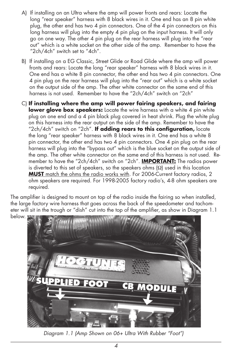- A) If installing on an Ultra where the amp will power fronts and rears: Locate the long "rear speaker" harness with 8 black wires in it. One end has an 8 pin white plug, the other end has two 4 pin connectors. One of the 4 pin connectors on this long harness will plug into the empty 4 pin plug on the input harness. It will only go on one way. The other 4 pin plug on the rear harness will plug into the "rear out" which is a white socket on the other side of the amp. Remember to have the "2ch/4ch" switch set to "4ch".
- B) If installing on a EG Classic, Street Glide or Road Glide where the amp will power fronts and rears: Locate the long "rear speaker" harness with 8 black wires in it. One end has a white 8 pin connector, the other end has two 4 pin connectors. One 4 pin plug on the rear harness will plug into the "rear out" which is a white socket on the output side of the amp. The other white connector on the same end of this harness is not used. Remember to have the "2ch/4ch" switch on "2ch"
- C) **If installing where the amp will power fairing speakers, and fairing lower glove box speakers:** Locate the wire harness with a white 4 pin white plug on one end and a 4 pin black plug covered in heat shrink. Plug the white plug on this harness into the rear output on the side of the amp. Remember to have the "2ch/4ch" switch on "2ch". If adding rears to this configuration, locate the long "rear speaker" harness with 8 black wires in it. One end has a white 8 pin connector, the other end has two 4 pin connectors. One 4 pin plug on the rear harness will plug into the "bypass out" which is the blue socket on the output side of the amp. The other white connector on the same end of this harness is not used. Remember to have the "2ch/4ch" switch on "2ch". **IMPORTANT:** The radios power is diverted to this set of speakers, so the speakers ohms  $(\Omega)$  used in this location **MUST** match the ohms the radio works with. For 2006-Current factory radios, 2 ohm speakers are required. For 1998-2005 factory radio's, 4-8 ohm speakers are required.

The amplifier is designed to mount on top of the radio inside the fairing so when installed, the large factory wire harness that goes across the back of the speedometer and tachometer will sit in the trough or "dish" cut into the top of the amplifier, as show in Diagram 1.1 below.

![](_page_3_Picture_4.jpeg)

Diagram 1.1 (Amp Shown on 06+ Ultra With Rubber "Foot")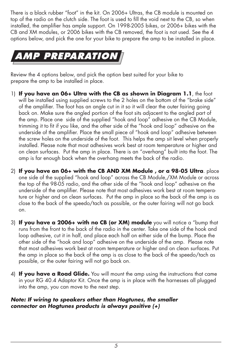There is a black rubber "foot" in the kit. On 2006+ Ultras, the CB module is mounted on top of the radio on the clutch side. The foot is used to fill the void next to the CB, so when installed, the amplifier has ample support. On 1998-2005 bikes, or 2006+ bikes with the CB and XM modules, or 2006 bikes with the CB removed, the foot is not used. See the 4 options below, and pick the one for your bike to prepare the amp to be installed in place.

![](_page_4_Picture_1.jpeg)

Review the 4 options below, and pick the option best suited for your bike to prepare the amp to be installed in place.

- 1) **If you have an 06+ Ultra with the CB as shown in Diagram 1.1**, the foot will be installed using supplied screws to the 2 holes on the bottom of the "brake side" of the amplifier. The foot has an angle cut in it so it will clear the outer fairing going back on. Make sure the angled portion of the foot sits adjacent to the angled part of the amp. Place one side of the supplied "hook and loop" adhesive on the CB Module, trimming it to fit if you like, and the other side of the "hook and loop" adhesive on the underside of the amplifier. Place the small piece of "hook and loop" adhesive between the screw holes on the underside of the foot. This helps the amp sit level when properly installed. Please note that most adhesives work best at room temperature or higher and on clean surfaces. Put the amp in place. There is an "overhang" built into the foot. The amp is far enough back when the overhang meets the back of the radio.
- 2) **If you have an 06+ with the CB AND XM Module , or a 98-05 Ultra**. place one side of the supplied "hook and loop" across the CB Module,/XM Module or across the top of the 98-05 radio, and the other side of the "hook and loop" adhesive on the underside of the amplifier. Please note that most adhesives work best at room temperature or higher and on clean surfaces. Put the amp in place so the back of the amp is as close to the back of the speedo/tach as possible, or the outer fairing will not go back on.
- 3) **If you have a 2006+ with no CB (or XM) module** you will notice a "bump that runs from the front to the back of the radio in the center. Take one side of the hook and loop adhesive, cut it in half, and place each half on either side of the bump. Place the other side of the "hook and loop" adhesive on the underside of the amp. Please note that most adhesives work best at room temperature or higher and on clean surfaces. Put the amp in place so the back of the amp is as close to the back of the speedo/tach as possible, or the outer fairing will not go back on.
- 4) **If you have a Road Glide.** You will mount the amp using the instructions that came in your RG 40.4 Adaptor Kit. Once the amp is in place with the harnesses all plugged into the amp, you can move to the next step.

#### **Note: If wiring to speakers other than Hogtunes, the smaller connector on Hogtunes products is always positive (+)**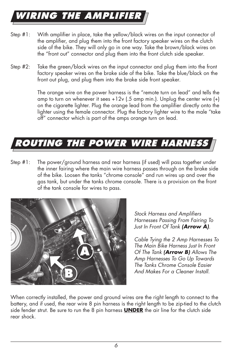# **WIRING THE AMPLIFIER**

- Step #1: With amplifier in place, take the yellow/black wires on the input connector of the amplifier, and plug them into the front factory speaker wires on the clutch side of the bike. They will only go in one way. Take the brown/black wires on the "front out" connector and plug them into the front clutch side speaker.
- Step #2: Take the green/black wires on the input connector and plug them into the front factory speaker wires on the brake side of the bike. Take the blue/black on the front out plug, and plug them into the brake side front speaker.

 The orange wire on the power harness is the "remote turn on lead" and tells the amp to turn on whenever it sees  $+12v$  (.5 amp min.). Unplug the center wire  $(+)$ on the cigarette lighter. Plug the orange lead from the amplifier directly onto the lighter using the female connector. Plug the factory lighter wire to the male "take off" connector which is part of the amps orange turn on lead.

# **ROUTING THE POWER WIRE HARNESS**

Step #1: The power/ground harness and rear harness (if used) will pass together under the inner fairing where the main wire harness passes through on the brake side of the bike. Loosen the tanks "chrome console" and run wires up and over the gas tank, but under the tanks chrome console. There is a provision on the front of the tank console for wires to pass.

![](_page_5_Picture_6.jpeg)

Stock Harness and Amplifiers Harnesses Passing From Fairing To Just In Front Of Tank **(Arrow A)**.

Cable Tying the 2 Amp Harnesses To The Main Bike Harness Just In Front Of The Tank **(Arrow B)** Allows The Amp Harnesses To Go Up Towards The Tanks Chrome Console Easier And Makes For a Cleaner Install.

When correctly installed, the power and ground wires are the right length to connect to the battery, and if used, the rear wire 8 pin harness is the right length to be zip-tied to the clutch side fender strut. Be sure to run the 8 pin harness **UNDER** the air line for the clutch side rear shock.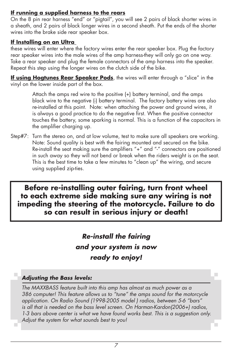## **If running a supplied harness to the rears**

On the 8 pin rear harness "end" or "pigtail", you will see 2 pairs of black shorter wires in a sheath, and 2 pairs of black longer wires in a second sheath. Put the ends of the shorter wires into the brake side rear speaker box.

#### **If Installing on an Ultra**

these wires will enter where the factory wires enter the rear speaker box. Plug the factory rear speaker wires into the male wires of the amp harness-they will only go on one way. Take a rear speaker and plug the female connectors of the amp harness into the speaker. Repeat this step using the longer wires on the clutch side of the bike.

**If using Hogtunes Rear Speaker Pods**, the wires will enter through a "slice" in the vinyl on the lower inside part of the box.

> Attach the amps red wire to the positive (+) battery terminal, and the amps black wire to the negative (-) battery terminal. The factory battery wires are also re-installed at this point. Note: when attaching the power and ground wires, it is always a good practice to do the negative first. When the positive connector touches the battery, some sparking is normal. This is a function of the capacitors in the amplifier charging up.

Step#7: Turn the stereo on, and at low volume, test to make sure all speakers are working. Note: Sound quality is best with the fairing mounted and secured on the bike. Re-install the seat making sure the amplifiers "+" and "-" connectors are positioned in such away so they will not bend or break when the riders weight is on the seat. This is the best time to take a few minutes to "clean up" the wiring, and secure using supplied zip-ties.

**Before re-installing outer fairing, turn front wheel to each extreme side making sure any wiring is not impeding the steering of the motorcycle. Failure to do so can result in serious injury or death!** 

> **Re-install the fairing and your system is now ready to enjoy!**

### **Adjusting the Bass levels:**

 The MAXXBASS feature built into this amp has almost as much power as a 386 computer! This feature allows us to "tune" the amps sound for the motorcycle application. On Radio Sound (1998-2005 model ) radios, between 5-6 "bars" is all that is needed on the bass level screen. On Harman-Kardon(2006+) radios, 1-3 bars above center is what we have found works best. This is a suggestion only. Adjust the system for what sounds best to you!